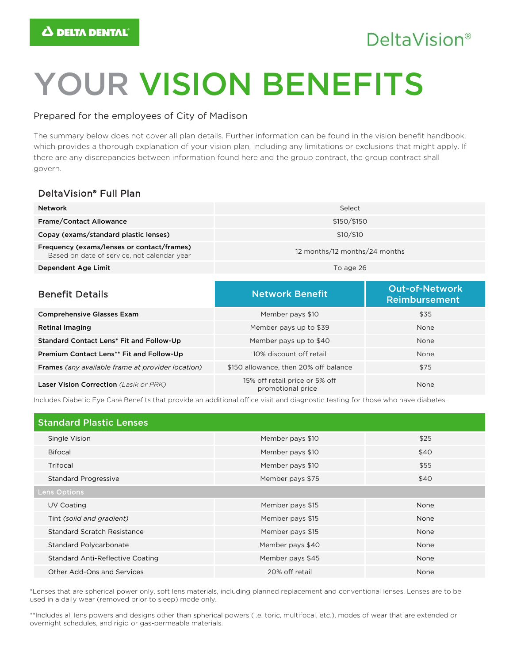# **DeltaVision®**

# YOUR VISION BENEFITS

### Prepared for the employees of City of Madison

The summary below does not cover all plan details. Further information can be found in the vision benefit handbook, which provides a thorough explanation of your vision plan, including any limitations or exclusions that might apply. If there are any discrepancies between information found here and the group contract, the group contract shall govern.

## DeltaVision® Full Plan

| <b>Network</b>                                                                            | Select                        |  |
|-------------------------------------------------------------------------------------------|-------------------------------|--|
| <b>Frame/Contact Allowance</b>                                                            | \$150/\$150                   |  |
| Copay (exams/standard plastic lenses)                                                     | \$10/\$10                     |  |
| Frequency (exams/lenses or contact/frames)<br>Based on date of service, not calendar year | 12 months/12 months/24 months |  |
| Dependent Age Limit                                                                       | To age 26                     |  |

| <b>Benefit Details</b>                                   | <b>Network Benefit</b>                              | <b>Out-of-Network</b><br>Reimbursement |
|----------------------------------------------------------|-----------------------------------------------------|----------------------------------------|
| <b>Comprehensive Glasses Exam</b>                        | Member pays \$10                                    | \$35                                   |
| <b>Retinal Imaging</b>                                   | Member pays up to \$39                              | None                                   |
| Standard Contact Lens* Fit and Follow-Up                 | Member pays up to \$40                              | None                                   |
| Premium Contact Lens** Fit and Follow-Up                 | 10% discount off retail                             | None                                   |
| <b>Frames</b> (any available frame at provider location) | \$150 allowance, then 20% off balance               | \$75                                   |
| <b>Laser Vision Correction</b> (Lasik or PRK)            | 15% off retail price or 5% off<br>promotional price | None                                   |

Includes Diabetic Eye Care Benefits that provide an additional office visit and diagnostic testing for those who have diabetes.

| <b>Standard Plastic Lenses</b>          |                  |      |
|-----------------------------------------|------------------|------|
| Single Vision                           | Member pays \$10 | \$25 |
| <b>Bifocal</b>                          | Member pays \$10 | \$40 |
| Trifocal                                | Member pays \$10 | \$55 |
| <b>Standard Progressive</b>             | Member pays \$75 | \$40 |
| Lens Options                            |                  |      |
| UV Coating                              | Member pays \$15 | None |
| Tint (solid and gradient)               | Member pays \$15 | None |
| Standard Scratch Resistance             | Member pays \$15 | None |
| <b>Standard Polycarbonate</b>           | Member pays \$40 | None |
| <b>Standard Anti-Reflective Coating</b> | Member pays \$45 | None |
| Other Add-Ons and Services              | 20% off retail   | None |

\*Lenses that are spherical power only, soft lens materials, including planned replacement and conventional lenses. Lenses are to be used in a daily wear (removed prior to sleep) mode only.

\*\*Includes all lens powers and designs other than spherical powers (i.e. toric, multifocal, etc.), modes of wear that are extended or overnight schedules, and rigid or gas-permeable materials.